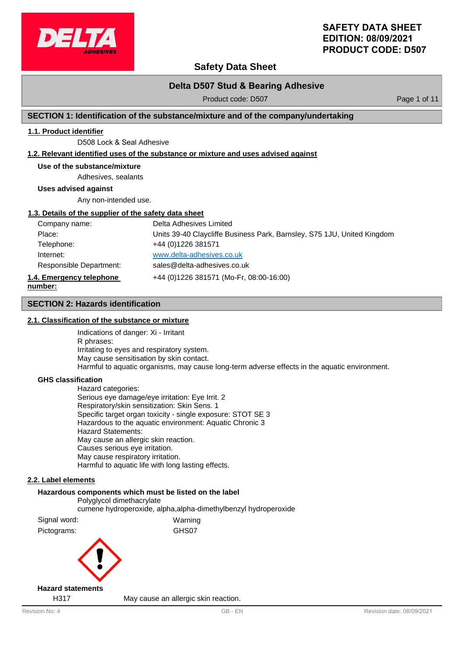

# **Safety Data Sheet**

# **Delta D507 Stud & Bearing Adhesive**

Product code: D507 Product code: P507

# **SECTION 1: Identification of the substance/mixture and of the company/undertaking**

# **1.1. Product identifier**

D508 Lock & Seal Adhesive

### **1.2. Relevant identified uses of the substance or mixture and uses advised against**

#### **Use of the substance/mixture**

Adhesives, sealants

**Uses advised against**

Any non-intended use.

#### **1.3. Details of the supplier of the safety data sheet**

| Company name:            | Delta Adhesives Limited                                                 |
|--------------------------|-------------------------------------------------------------------------|
| Place:                   | Units 39-40 Claycliffe Business Park, Barnsley, S75 1JU, United Kingdom |
| Telephone:               | +44 (0) 1226 381571                                                     |
| Internet:                | www.delta-adhesives.co.uk                                               |
| Responsible Department:  | sales@delta-adhesives.co.uk                                             |
| 1.4. Emergency telephone | +44 (0)1226 381571 (Mo-Fr, 08:00-16:00)                                 |
| number:                  |                                                                         |

#### **SECTION 2: Hazards identification**

#### **2.1. Classification of the substance or mixture**

Indications of danger: Xi - Irritant R phrases: Irritating to eyes and respiratory system. May cause sensitisation by skin contact. Harmful to aquatic organisms, may cause long-term adverse effects in the aquatic environment.

#### **GHS classification**

Hazard categories: Serious eye damage/eye irritation: Eye Irrit. 2 Respiratory/skin sensitization: Skin Sens. 1 Specific target organ toxicity - single exposure: STOT SE 3 Hazardous to the aquatic environment: Aquatic Chronic 3 Hazard Statements: May cause an allergic skin reaction. Causes serious eye irritation. May cause respiratory irritation. Harmful to aquatic life with long lasting effects.

### **2.2. Label elements**

# **Hazardous components which must be listed on the label** Polyglycol dimethacrylate cumene hydroperoxide, alpha,alpha-dimethylbenzyl hydroperoxide Signal word: Warning Pictograms: GHS07

#### **Hazard statements**

H317 May cause an allergic skin reaction.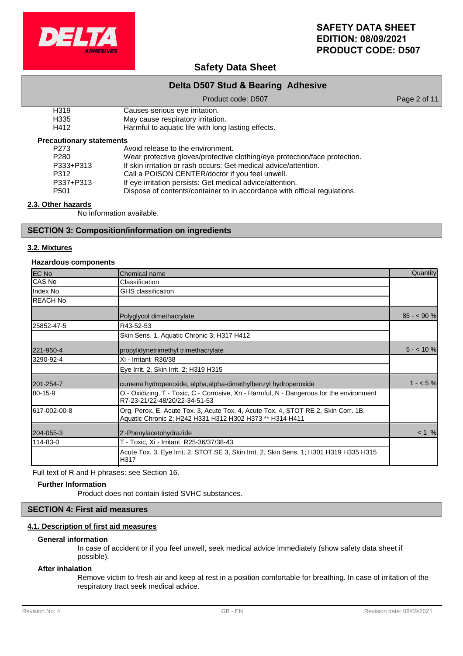

# **Safety Data Sheet**

# **Delta D507 Stud & Bearing Adhesive**

#### Product code: D507 Product code: D507

- H319 Causes serious eye irritation.<br>
H335 May cause respiratory irritation.
- H335 May cause respiratory irritation.<br>H412 Harmful to aquatic life with long

Harmful to aquatic life with long lasting effects.

### **Precautionary statements**

| P273             | Avoid release to the environment.                                          |
|------------------|----------------------------------------------------------------------------|
| P <sub>280</sub> | Wear protective gloves/protective clothing/eye protection/face protection. |
| P333+P313        | If skin irritation or rash occurs: Get medical advice/attention.           |
| P312             | Call a POISON CENTER/doctor if you feel unwell.                            |
| P337+P313        | If eye irritation persists: Get medical advice/attention.                  |
| P <sub>501</sub> | Dispose of contents/container to in accordance with official regulations.  |

# **2.3. Other hazards**

No information available.

### **SECTION 3: Composition/information on ingredients**

### **3.2. Mixtures**

### **Hazardous components**

| EC No           | Chemical name                                                                                                                                  | Quantity    |
|-----------------|------------------------------------------------------------------------------------------------------------------------------------------------|-------------|
| CAS No          | Classification                                                                                                                                 |             |
| Index No        | GHS classification                                                                                                                             |             |
| <b>REACH No</b> |                                                                                                                                                |             |
|                 | Polyglycol dimethacrylate                                                                                                                      | $85 - 90 %$ |
| 25852-47-5      | R43-52-53                                                                                                                                      |             |
|                 | Skin Sens. 1, Aquatic Chronic 3; H317 H412                                                                                                     |             |
| 221-950-4       | propylidynetrimethyl trimethacrylate                                                                                                           | $5 - 10%$   |
| 3290-92-4       | Xi - Irritant R36/38                                                                                                                           |             |
|                 | Eye Irrit. 2, Skin Irrit. 2; H319 H315                                                                                                         |             |
| 201-254-7       | cumene hydroperoxide, alpha, alpha-dimethylbenzyl hydroperoxide                                                                                | $1 - 5%$    |
| 80-15-9         | O - Oxidizing, T - Toxic, C - Corrosive, Xn - Harmful, N - Dangerous for the environment<br>R7-23-21/22-48/20/22-34-51-53                      |             |
| 617-002-00-8    | Org. Perox. E, Acute Tox. 3, Acute Tox. 4, Acute Tox. 4, STOT RE 2, Skin Corr. 1B,<br>Aquatic Chronic 2; H242 H331 H312 H302 H373 ** H314 H411 |             |
| 204-055-3       | 2'-Phenylacetohydrazide                                                                                                                        | < 1 %       |
| 114-83-0        | T - Toxic, Xi - Irritant R25-36/37/38-43                                                                                                       |             |
|                 | Acute Tox. 3, Eye Irrit. 2, STOT SE 3, Skin Irrit. 2, Skin Sens. 1; H301 H319 H335 H315<br>H317                                                |             |

Full text of R and H phrases: see Section 16.

#### **Further Information**

Product does not contain listed SVHC substances.

# **SECTION 4: First aid measures**

### **4.1. Description of first aid measures**

#### **General information**

In case of accident or if you feel unwell, seek medical advice immediately (show safety data sheet if possible).

#### **After inhalation**

Remove victim to fresh air and keep at rest in a position comfortable for breathing. In case of irritation of the respiratory tract seek medical advice.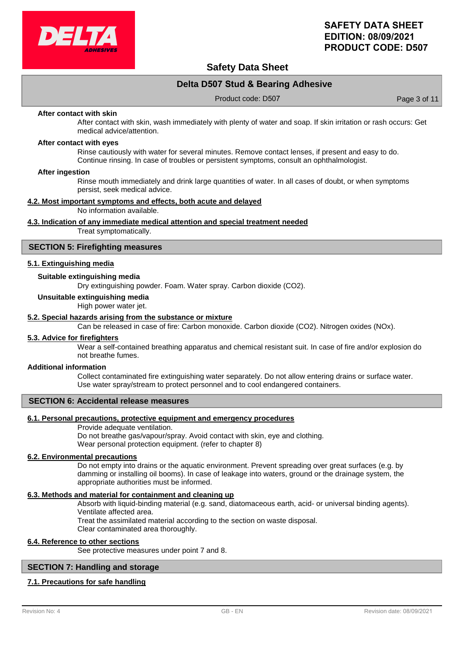

# **Safety Data Sheet**

# **Delta D507 Stud & Bearing Adhesive**

Product code: D507 Product code: Page 3 of 11

#### **After contact with skin**

After contact with skin, wash immediately with plenty of water and soap. If skin irritation or rash occurs: Get medical advice/attention.

#### **After contact with eyes**

Rinse cautiously with water for several minutes. Remove contact lenses, if present and easy to do. Continue rinsing. In case of troubles or persistent symptoms, consult an ophthalmologist.

#### **After ingestion**

Rinse mouth immediately and drink large quantities of water. In all cases of doubt, or when symptoms persist, seek medical advice.

#### **4.2. Most important symptoms and effects, both acute and delayed**

No information available.

#### **4.3. Indication of any immediate medical attention and special treatment needed**

Treat symptomatically.

#### **SECTION 5: Firefighting measures**

#### **5.1. Extinguishing media**

### **Suitable extinguishing media**

Dry extinguishing powder. Foam. Water spray. Carbon dioxide (CO2).

#### **Unsuitable extinguishing media**

High power water jet.

#### **5.2. Special hazards arising from the substance or mixture**

Can be released in case of fire: Carbon monoxide. Carbon dioxide (CO2). Nitrogen oxides (NOx).

#### **5.3. Advice for firefighters**

Wear a self-contained breathing apparatus and chemical resistant suit. In case of fire and/or explosion do not breathe fumes.

#### **Additional information**

Collect contaminated fire extinguishing water separately. Do not allow entering drains or surface water. Use water spray/stream to protect personnel and to cool endangered containers.

#### **SECTION 6: Accidental release measures**

#### **6.1. Personal precautions, protective equipment and emergency procedures**

Provide adequate ventilation.

Do not breathe gas/vapour/spray. Avoid contact with skin, eye and clothing. Wear personal protection equipment. (refer to chapter 8)

#### **6.2. Environmental precautions**

Do not empty into drains or the aquatic environment. Prevent spreading over great surfaces (e.g. by damming or installing oil booms). In case of leakage into waters, ground or the drainage system, the appropriate authorities must be informed.

#### **6.3. Methods and material for containment and cleaning up**

Absorb with liquid-binding material (e.g. sand, diatomaceous earth, acid- or universal binding agents). Ventilate affected area.

Treat the assimilated material according to the section on waste disposal.

Clear contaminated area thoroughly.

#### **6.4. Reference to other sections**

See protective measures under point 7 and 8.

### **SECTION 7: Handling and storage**

#### **7.1. Precautions for safe handling**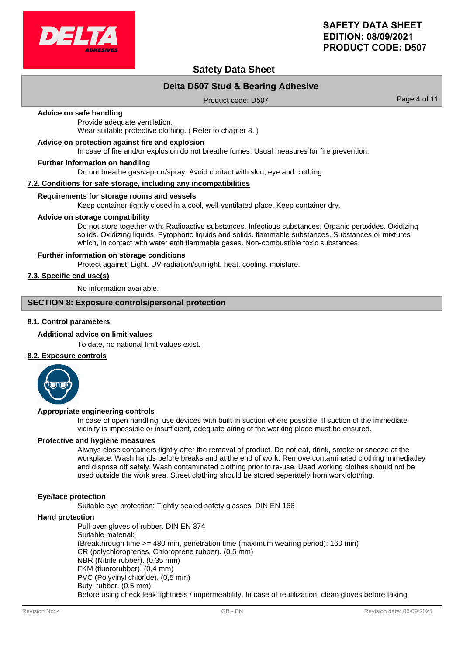

# **Safety Data Sheet**

# **Delta D507 Stud & Bearing Adhesive**

Product code: D507 Product code: P507

#### **Advice on safe handling**

Provide adequate ventilation. Wear suitable protective clothing. ( Refer to chapter 8. )

#### **Advice on protection against fire and explosion**

In case of fire and/or explosion do not breathe fumes. Usual measures for fire prevention.

#### **Further information on handling**

Do not breathe gas/vapour/spray. Avoid contact with skin, eye and clothing.

#### **7.2. Conditions for safe storage, including any incompatibilities**

#### **Requirements for storage rooms and vessels**

Keep container tightly closed in a cool, well-ventilated place. Keep container dry.

#### **Advice on storage compatibility**

Do not store together with: Radioactive substances. Infectious substances. Organic peroxides. Oxidizing solids. Oxidizing liquids. Pyrophoric liquids and solids. flammable substances. Substances or mixtures which, in contact with water emit flammable gases. Non-combustible toxic substances.

#### **Further information on storage conditions**

Protect against: Light. UV-radiation/sunlight. heat. cooling. moisture.

### **7.3. Specific end use(s)**

No information available.

# **SECTION 8: Exposure controls/personal protection**

### **8.1. Control parameters**

#### **Additional advice on limit values**

To date, no national limit values exist.

### **8.2. Exposure controls**



#### **Appropriate engineering controls**

In case of open handling, use devices with built-in suction where possible. If suction of the immediate vicinity is impossible or insufficient, adequate airing of the working place must be ensured.

#### **Protective and hygiene measures**

Always close containers tightly after the removal of product. Do not eat, drink, smoke or sneeze at the workplace. Wash hands before breaks and at the end of work. Remove contaminated clothing immediatley and dispose off safely. Wash contaminated clothing prior to re-use. Used working clothes should not be used outside the work area. Street clothing should be stored seperately from work clothing.

#### **Eye/face protection**

Suitable eye protection: Tightly sealed safety glasses. DIN EN 166

#### **Hand protection**

Pull-over gloves of rubber. DIN EN 374 Suitable material: (Breakthrough time >= 480 min, penetration time (maximum wearing period): 160 min) CR (polychloroprenes, Chloroprene rubber). (0,5 mm) NBR (Nitrile rubber). (0,35 mm) FKM (fluororubber). (0,4 mm) PVC (Polyvinyl chloride). (0,5 mm) Butyl rubber. (0,5 mm) Before using check leak tightness / impermeability. In case of reutilization, clean gloves before taking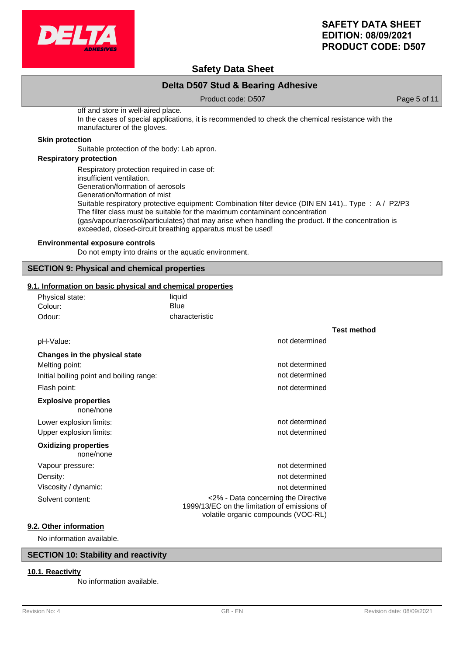

# **Safety Data Sheet**

# **Delta D507 Stud & Bearing Adhesive**

Product code: D507 Product code: D507

off and store in well-aired place. In the cases of special applications, it is recommended to check the chemical resistance with the manufacturer of the gloves.

#### **Skin protection**

Suitable protection of the body: Lab apron.

### **Respiratory protection**

Respiratory protection required in case of: insufficient ventilation. Generation/formation of aerosols Generation/formation of mist Suitable respiratory protective equipment: Combination filter device (DIN EN 141).. Type : A / P2/P3 The filter class must be suitable for the maximum contaminant concentration (gas/vapour/aerosol/particulates) that may arise when handling the product. If the concentration is exceeded, closed-circuit breathing apparatus must be used!

#### **Environmental exposure controls**

Do not empty into drains or the aquatic environment.

### **SECTION 9: Physical and chemical properties**

#### **9.1. Information on basic physical and chemical properties**

| Physical state: | liquid         |
|-----------------|----------------|
| Colour:         | Blue           |
| Odour:          | characteristic |

|                                          |                                                                                                                            | <b>Test method</b> |
|------------------------------------------|----------------------------------------------------------------------------------------------------------------------------|--------------------|
| pH-Value:                                | not determined                                                                                                             |                    |
| Changes in the physical state            |                                                                                                                            |                    |
| Melting point:                           | not determined                                                                                                             |                    |
| Initial boiling point and boiling range: | not determined                                                                                                             |                    |
| Flash point:                             | not determined                                                                                                             |                    |
| <b>Explosive properties</b><br>none/none |                                                                                                                            |                    |
| Lower explosion limits:                  | not determined                                                                                                             |                    |
| Upper explosion limits:                  | not determined                                                                                                             |                    |
| <b>Oxidizing properties</b><br>none/none |                                                                                                                            |                    |
| Vapour pressure:                         | not determined                                                                                                             |                    |
| Density:                                 | not determined                                                                                                             |                    |
| Viscosity / dynamic:                     | not determined                                                                                                             |                    |
| Solvent content:                         | <2% - Data concerning the Directive<br>1999/13/EC on the limitation of emissions of<br>volatile organic compounds (VOC-RL) |                    |
| Other information                        |                                                                                                                            |                    |

**9.2** 

No information available.

# **SECTION 10: Stability and reactivity**

### **10.1. Reactivity**

No information available.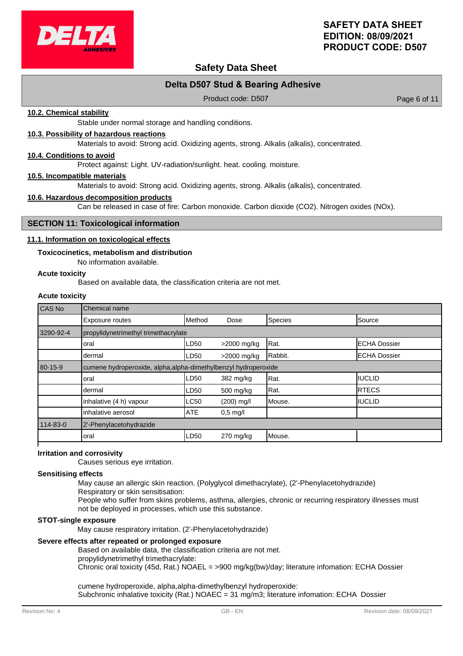

# **Safety Data Sheet**

# **Delta D507 Stud & Bearing Adhesive**

Product code: D507 Product code: 0.507

#### **10.2. Chemical stability**

Stable under normal storage and handling conditions.

#### **10.3. Possibility of hazardous reactions**

Materials to avoid: Strong acid. Oxidizing agents, strong. Alkalis (alkalis), concentrated.

### **10.4. Conditions to avoid**

Protect against: Light. UV-radiation/sunlight. heat. cooling. moisture.

#### **10.5. Incompatible materials**

Materials to avoid: Strong acid. Oxidizing agents, strong. Alkalis (alkalis), concentrated.

#### **10.6. Hazardous decomposition products**

Can be released in case of fire: Carbon monoxide. Carbon dioxide (CO2). Nitrogen oxides (NOx).

#### **SECTION 11: Toxicological information**

#### **11.1. Information on toxicological effects**

#### **Toxicocinetics, metabolism and distribution**

No information available.

#### **Acute toxicity**

Based on available data, the classification criteria are not met.

# **Acute toxicity**

| CAS No        | Chemical name                                                   |            |             |         |                     |
|---------------|-----------------------------------------------------------------|------------|-------------|---------|---------------------|
|               | Exposure routes                                                 | Method     | Dose        | Species | Source              |
| 3290-92-4     | propylidynetrimethyl trimethacrylate                            |            |             |         |                     |
|               | oral                                                            | LD50       | >2000 mg/kg | Rat.    | <b>ECHA Dossier</b> |
|               | dermal                                                          | LD50       | >2000 mg/kg | Rabbit. | <b>ECHA Dossier</b> |
| $80 - 15 - 9$ | cumene hydroperoxide, alpha, alpha-dimethylbenzyl hydroperoxide |            |             |         |                     |
|               | oral                                                            | LD50       | 382 mg/kg   | Rat.    | <b>IIUCLID</b>      |
|               | dermal                                                          | LD50       | 500 mg/kg   | Rat.    | <b>IRTECS</b>       |
|               | inhalative (4 h) vapour                                         | LC50       | (200) mg/l  | Mouse.  | <b>IIUCLID</b>      |
|               | inhalative aerosol                                              | <b>ATE</b> | $0.5$ mg/l  |         |                     |
| 114-83-0      | 2'-Phenylacetohydrazide                                         |            |             |         |                     |
|               | oral                                                            | LD50       | $270$ mg/kg | Mouse.  |                     |

### **Irritation and corrosivity**

Causes serious eye irritation.

#### **Sensitising effects**

May cause an allergic skin reaction. (Polyglycol dimethacrylate), (2'-Phenylacetohydrazide)

Respiratory or skin sensitisation:

People who suffer from skins problems, asthma, allergies, chronic or recurring respiratory illnesses must not be deployed in processes, which use this substance.

#### **STOT-single exposure**

May cause respiratory irritation. (2'-Phenylacetohydrazide)

### **Severe effects after repeated or prolonged exposure**

Based on available data, the classification criteria are not met. propylidynetrimethyl trimethacrylate:

Chronic oral toxicity (45d, Rat.) NOAEL = >900 mg/kg(bw)/day; literature infomation: ECHA Dossier

cumene hydroperoxide, alpha,alpha-dimethylbenzyl hydroperoxide: Subchronic inhalative toxicity (Rat.) NOAEC = 31 mg/m3; literature infomation: ECHA Dossier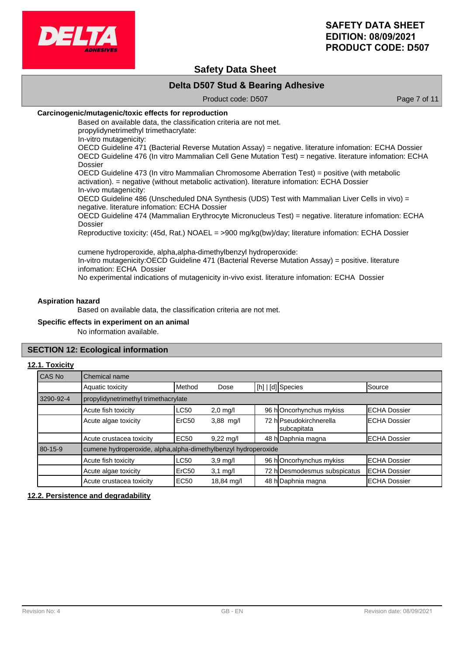

# **Safety Data Sheet**

# **Delta D507 Stud & Bearing Adhesive**

Product code: D507 Product code: D507

### **Carcinogenic/mutagenic/toxic effects for reproduction**

Based on available data, the classification criteria are not met. propylidynetrimethyl trimethacrylate:

In-vitro mutagenicity:

OECD Guideline 471 (Bacterial Reverse Mutation Assay) = negative. literature infomation: ECHA Dossier OECD Guideline 476 (In vitro Mammalian Cell Gene Mutation Test) = negative. literature infomation: ECHA Dossier

OECD Guideline 473 (In vitro Mammalian Chromosome Aberration Test) = positive (with metabolic activation). = negative (without metabolic activation). literature infomation: ECHA Dossier In-vivo mutagenicity:

OECD Guideline 486 (Unscheduled DNA Synthesis (UDS) Test with Mammalian Liver Cells in vivo) = negative. literature infomation: ECHA Dossier

OECD Guideline 474 (Mammalian Erythrocyte Micronucleus Test) = negative. literature infomation: ECHA Dossier

Reproductive toxicity: (45d, Rat.) NOAEL = >900 mg/kg(bw)/day; literature infomation: ECHA Dossier

cumene hydroperoxide, alpha,alpha-dimethylbenzyl hydroperoxide: In-vitro mutagenicity:OECD Guideline 471 (Bacterial Reverse Mutation Assay) = positive. literature infomation: ECHA Dossier No experimental indications of mutagenicity in-vivo exist. literature infomation: ECHA Dossier

#### **Aspiration hazard**

Based on available data, the classification criteria are not met.

#### **Specific effects in experiment on an animal**

No information available.

#### **SECTION 12: Ecological information**

#### **12.1. Toxicity**

| l CAS No  | Chemical name                                                   |                   |                     |  |                                        |                      |
|-----------|-----------------------------------------------------------------|-------------------|---------------------|--|----------------------------------------|----------------------|
|           | Aquatic toxicity                                                | Method            | Dose                |  | [h]   [d] Species                      | Source               |
| 3290-92-4 | propylidynetrimethyl trimethacrylate                            |                   |                     |  |                                        |                      |
|           | Acute fish toxicity                                             | <b>LC50</b>       | $2,0$ mg/l          |  | 96 hOncorhynchus mykiss                | <b>ECHA Dossier</b>  |
|           | Acute algae toxicity                                            | ErC <sub>50</sub> | 3,88 mg/l           |  | 72 hlPseudokirchnerella<br>subcapitata | <b>ECHA Dossier</b>  |
|           | Acute crustacea toxicity                                        | <b>EC50</b>       | $9,22 \text{ mq/l}$ |  | 48 h Daphnia magna                     | <b>IECHA Dossier</b> |
| 80-15-9   | cumene hydroperoxide, alpha, alpha-dimethylbenzyl hydroperoxide |                   |                     |  |                                        |                      |
|           | Acute fish toxicity                                             | <b>LC50</b>       | $3,9 \text{ mg/l}$  |  | 96 hOncorhynchus mykiss                | <b>ECHA Dossier</b>  |
|           | Acute algae toxicity                                            | ErC <sub>50</sub> | $3,1$ mg/l          |  | 72 h Desmodesmus subspicatus           | <b>ECHA Dossier</b>  |
|           | Acute crustacea toxicity                                        | <b>EC50</b>       | 18,84 mg/l          |  | 48 h Daphnia magna                     | <b>ECHA Dossier</b>  |

#### **12.2. Persistence and degradability**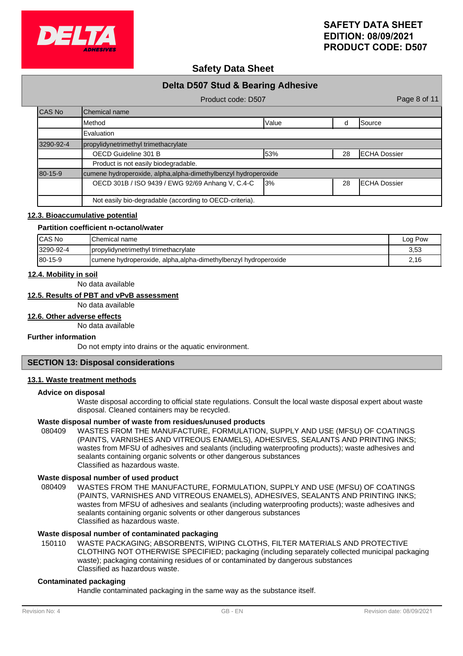

# **Safety Data Sheet**

| Delta D507 Stud & Bearing Adhesive |                                                                 |       |    |                      |  |  |  |
|------------------------------------|-----------------------------------------------------------------|-------|----|----------------------|--|--|--|
|                                    | Page 8 of 11<br>Product code: D507                              |       |    |                      |  |  |  |
| CAS No                             | <b>I</b> Chemical name                                          |       |    |                      |  |  |  |
|                                    | <b>I</b> Method                                                 | Value | d  | Source               |  |  |  |
|                                    | Evaluation                                                      |       |    |                      |  |  |  |
| 3290-92-4                          | propylidynetrimethyl trimethacrylate                            |       |    |                      |  |  |  |
|                                    | OECD Guideline 301 B                                            | 53%   | 28 | <b>ECHA Dossier</b>  |  |  |  |
|                                    | Product is not easily biodegradable.                            |       |    |                      |  |  |  |
| $80 - 15 - 9$                      | cumene hydroperoxide, alpha, alpha-dimethylbenzyl hydroperoxide |       |    |                      |  |  |  |
|                                    | OECD 301B / ISO 9439 / EWG 92/69 Anhang V, C.4-C                | 13%   | 28 | <b>IECHA Dossier</b> |  |  |  |
|                                    | Not easily bio-degradable (according to OECD-criteria).         |       |    |                      |  |  |  |

#### **12.3. Bioaccumulative potential**

#### **Partition coefficient n-octanol/water**

| ICAS No        | Chemical name                                                   | Log Pow |
|----------------|-----------------------------------------------------------------|---------|
| 3290-92-4      | propylidynetrimethyl trimethacrylate                            | 3,53    |
| $180 - 15 - 9$ | cumene hydroperoxide, alpha, alpha-dimethylbenzyl hydroperoxide | 2,16    |

#### **12.4. Mobility in soil**

No data available

# **12.5. Results of PBT and vPvB assessment**

No data available

### **12.6. Other adverse effects**

No data available

#### **Further information**

Do not empty into drains or the aquatic environment.

# **SECTION 13: Disposal considerations**

#### **13.1. Waste treatment methods**

### **Advice on disposal**

Waste disposal according to official state regulations. Consult the local waste disposal expert about waste disposal. Cleaned containers may be recycled.

### **Waste disposal number of waste from residues/unused products**

080409 WASTES FROM THE MANUFACTURE, FORMULATION, SUPPLY AND USE (MFSU) OF COATINGS (PAINTS, VARNISHES AND VITREOUS ENAMELS), ADHESIVES, SEALANTS AND PRINTING INKS; wastes from MFSU of adhesives and sealants (including waterproofing products); waste adhesives and sealants containing organic solvents or other dangerous substances Classified as hazardous waste.

#### **Waste disposal number of used product**

WASTES FROM THE MANUFACTURE, FORMULATION, SUPPLY AND USE (MFSU) OF COATINGS (PAINTS, VARNISHES AND VITREOUS ENAMELS), ADHESIVES, SEALANTS AND PRINTING INKS; wastes from MFSU of adhesives and sealants (including waterproofing products); waste adhesives and sealants containing organic solvents or other dangerous substances Classified as hazardous waste. 080409

# **Waste disposal number of contaminated packaging**

WASTE PACKAGING; ABSORBENTS, WIPING CLOTHS, FILTER MATERIALS AND PROTECTIVE CLOTHING NOT OTHERWISE SPECIFIED; packaging (including separately collected municipal packaging waste); packaging containing residues of or contaminated by dangerous substances Classified as hazardous waste. 150110

#### **Contaminated packaging**

Handle contaminated packaging in the same way as the substance itself.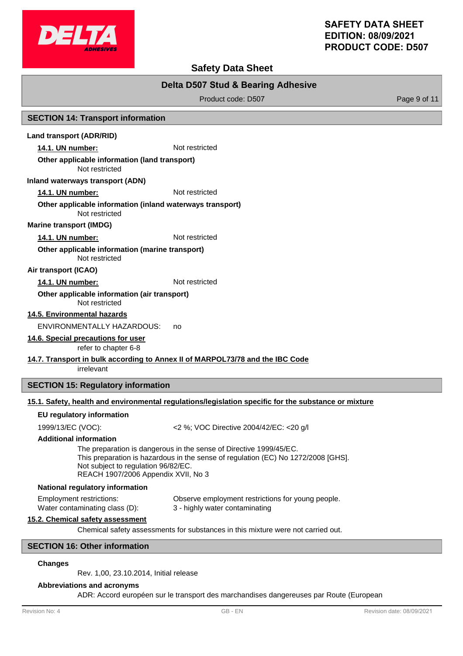

# **Safety Data Sheet**

# **Delta D507 Stud & Bearing Adhesive**

Product code: D507 Product code: P507

### **SECTION 14: Transport information**

### **Land transport (ADR/RID)**

**14.1. UN number:** Not restricted

#### **Other applicable information (land transport)**

Not restricted

#### **Inland waterways transport (ADN)**

**14.1. UN number:** Not restricted

#### Not restricted **Other applicable information (inland waterways transport)**

**Marine transport (IMDG)**

#### **14.1. UN number:** Not restricted

Not restricted **Other applicable information (marine transport)**

#### **Air transport (ICAO)**

#### 14.1. UN number: Not restricted

#### Not restricted **Other applicable information (air transport)**

**14.5. Environmental hazards**

ENVIRONMENTALLY HAZARDOUS: no

# **14.6. Special precautions for user**

refer to chapter 6-8

# **14.7. Transport in bulk according to Annex II of MARPOL73/78 and the IBC Code**

irrelevant

# **SECTION 15: Regulatory information**

# **15.1. Safety, health and environmental regulations/legislation specific for the substance or mixture**

#### **EU regulatory information**

1999/13/EC (VOC): <2 %; VOC Directive 2004/42/EC: <20 g/l

#### **Additional information**

The preparation is dangerous in the sense of Directive 1999/45/EC. This preparation is hazardous in the sense of regulation (EC) No 1272/2008 [GHS]. Not subject to regulation 96/82/EC. REACH 1907/2006 Appendix XVII, No 3

#### **National regulatory information**

Employment restrictions: Observe employment restrictions for young people. Water contaminating class (D): 3 - highly water contaminating

# **15.2. Chemical safety assessment**

Chemical safety assessments for substances in this mixture were not carried out.

# **SECTION 16: Other information**

#### **Changes**

Rev. 1,00, 23.10.2014, Initial release

### **Abbreviations and acronyms**

ADR: Accord européen sur le transport des marchandises dangereuses par Route (European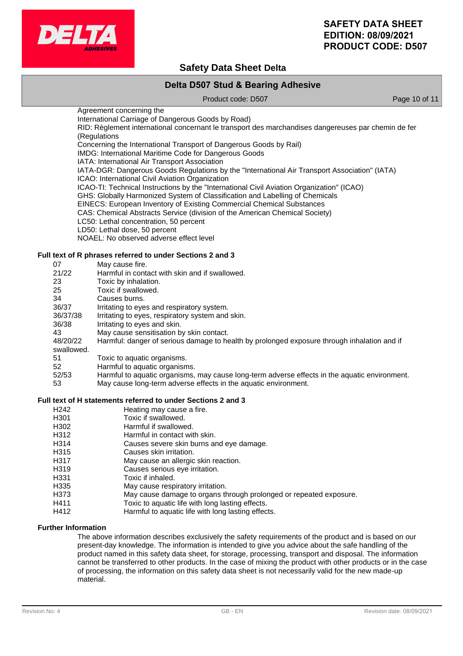

# **Safety Data Sheet Delta**

# **Delta D507 Stud & Bearing Adhesive**

Product code: D507 Product code: P507

Agreement concerning the International Carriage of Dangerous Goods by Road) RID: Règlement international concernant le transport des marchandises dangereuses par chemin de fer (Regulations Concerning the International Transport of Dangerous Goods by Rail) IMDG: International Maritime Code for Dangerous Goods IATA: International Air Transport Association IATA-DGR: Dangerous Goods Regulations by the "International Air Transport Association" (IATA) ICAO: International Civil Aviation Organization ICAO-TI: Technical Instructions by the "International Civil Aviation Organization" (ICAO) GHS: Globally Harmonized System of Classification and Labelling of Chemicals EINECS: European Inventory of Existing Commercial Chemical Substances CAS: Chemical Abstracts Service (division of the American Chemical Society) LC50: Lethal concentration, 50 percent LD50: Lethal dose, 50 percent NOAEL: No observed adverse effect level

### **Full text of R phrases referred to under Sections 2 and 3**

| 07         | May cause fire.                                                                               |
|------------|-----------------------------------------------------------------------------------------------|
| 21/22      | Harmful in contact with skin and if swallowed.                                                |
| 23         | Toxic by inhalation.                                                                          |
| 25         | Toxic if swallowed.                                                                           |
| 34         | Causes burns.                                                                                 |
| 36/37      | Irritating to eyes and respiratory system.                                                    |
| 36/37/38   | Irritating to eyes, respiratory system and skin.                                              |
| 36/38      | Irritating to eyes and skin.                                                                  |
| 43         | May cause sensitisation by skin contact.                                                      |
| 48/20/22   | Harmful: danger of serious damage to health by prolonged exposure through inhalation and if   |
| swallowed. |                                                                                               |
| 51         | Toxic to aquatic organisms.                                                                   |
| 52         | Harmful to aquatic organisms.                                                                 |
| 52/53      | Harmful to aquatic organisms, may cause long-term adverse effects in the aquatic environment. |
| 53         | May cause long-term adverse effects in the aquatic environment.                               |

#### **Full text of H statements referred to under Sections 2 and 3**

- H<sub>242</sub> Heating may cause a fire.
- H301 Toxic if swallowed.
- H302 Harmful if swallowed.
- H312 Harmful in contact with skin.
- H314 Causes severe skin burns and eye damage.
- H315 Causes skin irritation.
- H317 May cause an allergic skin reaction.
- H319 Causes serious eye irritation.<br>
H331 Toxic if inhaled.
- Toxic if inhaled.
- H335 May cause respiratory irritation.
- H373 May cause damage to organs through prolonged or repeated exposure.
- H411 Toxic to aquatic life with long lasting effects.
- H412 Harmful to aquatic life with long lasting effects.

# **Further Information**

The above information describes exclusively the safety requirements of the product and is based on our present-day knowledge. The information is intended to give you advice about the safe handling of the product named in this safety data sheet, for storage, processing, transport and disposal. The information cannot be transferred to other products. In the case of mixing the product with other products or in the case of processing, the information on this safety data sheet is not necessarily valid for the new made-up material.